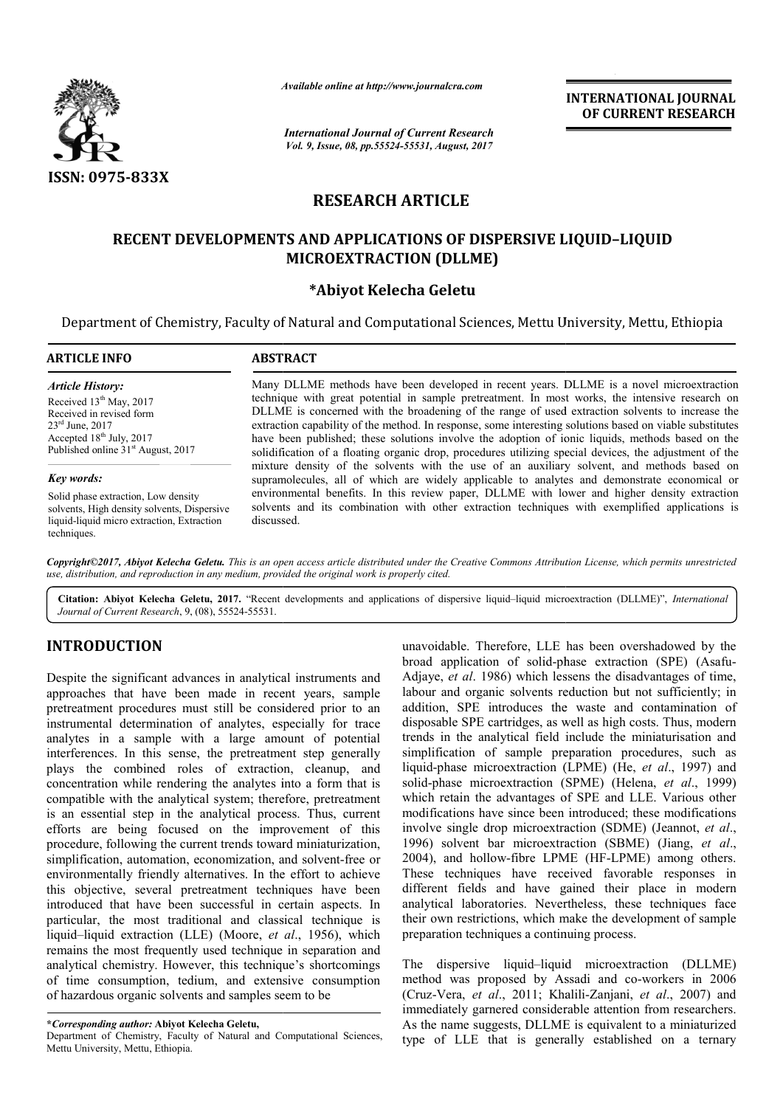

*Available online at http://www.journal http://www.journalcra.com*

*International Journal of Current Research Vol. 9, Issue, 08, pp.55524-55531, August, 2017*

**INTERNATIONAL JOURNAL OF CURRENT RESEARCH** 

# **RESEARCH ARTICLE**

# **RECENT DEVELOPMENTS AND APPLICATIONS OF DISPERSIVE LIQUID LIQUID–LIQUID MICROEXTRACTION (DLLME)**

# **\*Abiyot Kelecha Geletu**

Department of Chemistry, Faculty of Natural and Computational Sciences, Mettu University, Mettu, Ethiopia Sciences,

#### **ARTICLE INFO ABSTRACT** Many DLLME methods have been developed in recent years. DLLME is a novel microextraction technique with great potential in sample pretreatment. In most works, the intensive research on DLLME is concerned with the broadening of the range of used extraction solvents to increase the extraction capability of the method. In response, some interesting solutions based on viable substitut have been published; these solutions involve the adoption of ionic liquids, methods based on the solidification of a floating organic drop, procedures utilizing special devices, the adjustment of the mixture density of the solvents with the use of an auxiliary solvent, and methods based on supramolecules, all of which are widely applicable to analytes and demonstrate economical or environmental benefits. In this review paper, DLLME with lower and higher density extraction solvents and its combination with other extraction techniques with exemplified applications is discussed. *Key words:* Solid phase extraction, Low density solvents, High density solvents, Dispersive liquid-liquid micro extraction, Extraction *Article History:* Received 13<sup>th</sup> May, 2017 Received in revised form 23rd June, 2017 Accepted  $18<sup>th</sup>$  July, 2017 Published online 31<sup>st</sup> August, 2017 Many DLLME methods have been developed in recent years. DLLME is a novel microextraction technique with great potential in sample pretreatment. In most works, the intensive research on DLLME is concerned with the broadenin have been published; these solutions involve the adoption of ionic liquids, methods based on solidification of a floating organic drop, procedures utilizing special devices, the adjustment of mixture density of the solvent

*Copyright©2017, Abiyot Kelecha Geletu. This is an open access article distributed under the Creative Commons Att Attribution License, which ribution which permits unrestricted use, distribution, and reproduction in any medium, provided the original work is properly cited.*

Citation: Abiyot Kelecha Geletu, 2017. "Recent developments and applications of dispersive liquid-liquid microextraction (DLLME)", *International Journal of Current Research*, 9, (08), 55524-55531.

# **INTRODUCTION**

techniques.

Despite the significant advances in analytical instruments and approaches that have been made in recent years, sample pretreatment procedures must still be considered prior to an instrumental determination of analytes, especially for trace analytes in a sample with a large amount of potential interferences. In this sense, the pretreatment step generally plays the combined roles of extraction, cleanup, and concentration while rendering the analytes into a form that is compatible with the analytical system; therefore, pretreatment is an essential step in the analytical process. Thus, current efforts are being focused on the improvement of this procedure, following the current trends toward miniaturization, procedure, following the current trends toward miniaturization, simplification, automation, economization, and solvent-free or environmentally friendly alternatives. In the effort to achieve this objective, several pretreatment techniques have been introduced that have been successful in certain aspects. In particular, the most traditional and classical technique is liquid–liquid extraction (LLE) (Moore, *et al* ., 1956), which remains the most frequently used technique in separation and analytical chemistry. However, this technique's shortcomings of time consumption, tedium, and extensive consumption of hazardous organic solvents and samples seem to be

Department of Chemistry, Faculty of Natural and Computational Sciences, Mettu University, Mettu, Ethiopia.

unavoidable. Therefore, LLE has been overshadowed by the unavoidable. Therefore, LLE has been overshadowed by the broad application of solid-phase extraction (SPE) (Asafu-Adjaye, *et al*. 1986) which lessens the disadvantages of time, labour and organic solvents reduction but not sufficiently; in addition, SPE introduces the waste and contamination of disposable SPE cartridges, as well as high costs. Thus, modern trends in the analytical field include the miniaturisation and simplification of sample preparation procedures, such as liquid-phase microextraction (LPME) (He, et al., 1997) and solid-phase microextraction *(SPME) (Helena, et al., 1999)* which retain the advantages of SPE and LLE. Various other which retain the advantages of SPE and LLE. Various other modifications have since been introduced; these modifications involve single drop microextraction (SDME) (Jeannot, et al., 1996) solvent bar microextraction (SBME) (Jiang, *et al*., 2004), and hollow-fibre LPME (HF-LPME) among others. These techniques have received favorable responses in different fields and have gained their place in modern analytical laboratories. Nevertheless, these techniques face their own restrictions, which make the development of sample preparation techniques a continuing process. t al. 1986) which lessens the disadvantages of time,<br>1 organic solvents reduction but not sufficiently; in<br>SPE introduces the waste and contamination of<br>SPE cartridges, as well as high costs. Thus, modern<br>the analytical fi techniques have received favorable responses in<br>
erent fields and have gained their place in modern<br>
lytical laboratories. Nevertheless, these techniques face<br>
r own restrictions, which make the development of sample<br>
para **INTERNATIONAL JOURNAL CONSIDENT (CONSIDENT)**<br> **CONSIDENT RESEARCH**<br> **CONSIDENT CONSIDE CONSIDE CONSIDE CONSIDE CONSIDE CONSIDE CONSIDE CONSIDER (TOWAGE)**<br> **ARTICLE**<br> **CONS OF DISPERSIVE LIQUID-LIQUID**<br> **CONSIDENT RESEARC** 

The dispersive liquid–liquid microextraction (DLLME) method was proposed by Assadi and co-workers in 2006 (Cruz-Vera, et al., 2011; Khalili-Zanjani, et al., 2007) and immediately garnered considerable attention from researchers. As the name suggests, DLLME is equivalent to a miniaturized type of LLE that is generally established on a ternary

**<sup>\*</sup>***Corresponding author:* **Abiyot Kelecha Geletu,**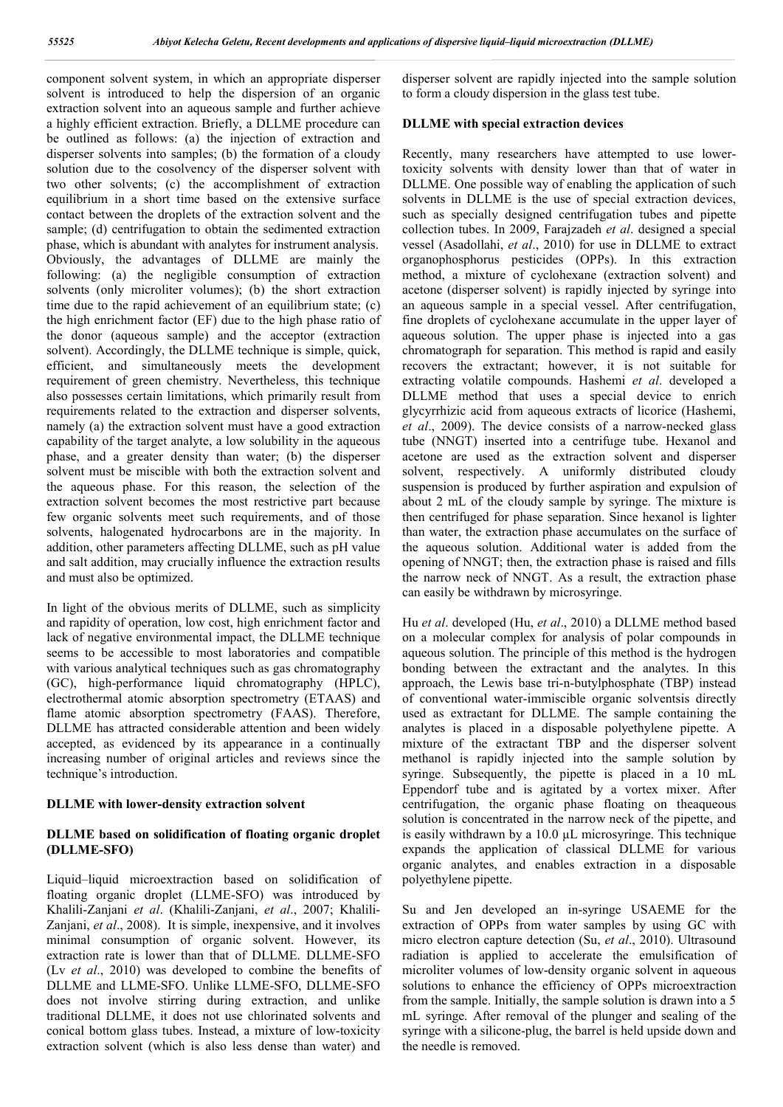component solvent system, in which an appropriate disperser solvent is introduced to help the dispersion of an organic extraction solvent into an aqueous sample and further achieve a highly efficient extraction. Briefly, a DLLME procedure can be outlined as follows: (a) the injection of extraction and disperser solvents into samples; (b) the formation of a cloudy solution due to the cosolvency of the disperser solvent with two other solvents; (c) the accomplishment of extraction equilibrium in a short time based on the extensive surface contact between the droplets of the extraction solvent and the sample; (d) centrifugation to obtain the sedimented extraction phase, which is abundant with analytes for instrument analysis. Obviously, the advantages of DLLME are mainly the following: (a) the negligible consumption of extraction solvents (only microliter volumes); (b) the short extraction time due to the rapid achievement of an equilibrium state; (c) the high enrichment factor (EF) due to the high phase ratio of the donor (aqueous sample) and the acceptor (extraction solvent). Accordingly, the DLLME technique is simple, quick, efficient, and simultaneously meets the development requirement of green chemistry. Nevertheless, this technique also possesses certain limitations, which primarily result from requirements related to the extraction and disperser solvents, namely (a) the extraction solvent must have a good extraction capability of the target analyte, a low solubility in the aqueous phase, and a greater density than water; (b) the disperser solvent must be miscible with both the extraction solvent and the aqueous phase. For this reason, the selection of the extraction solvent becomes the most restrictive part because few organic solvents meet such requirements, and of those solvents, halogenated hydrocarbons are in the majority. In addition, other parameters affecting DLLME, such as pH value and salt addition, may crucially influence the extraction results and must also be optimized.

In light of the obvious merits of DLLME, such as simplicity and rapidity of operation, low cost, high enrichment factor and lack of negative environmental impact, the DLLME technique seems to be accessible to most laboratories and compatible with various analytical techniques such as gas chromatography (GC), high-performance liquid chromatography (HPLC), electrothermal atomic absorption spectrometry (ETAAS) and flame atomic absorption spectrometry (FAAS). Therefore, DLLME has attracted considerable attention and been widely accepted, as evidenced by its appearance in a continually increasing number of original articles and reviews since the technique's introduction.

#### **DLLME with lower-density extraction solvent**

### **DLLME based on solidification of floating organic droplet (DLLME-SFO)**

Liquid–liquid microextraction based on solidification of floating organic droplet (LLME-SFO) was introduced by Khalili-Zanjani *et al*. (Khalili-Zanjani, *et al*., 2007; Khalili-Zanjani, *et al*., 2008). It is simple, inexpensive, and it involves minimal consumption of organic solvent. However, its extraction rate is lower than that of DLLME. DLLME-SFO (Lv *et al*., 2010) was developed to combine the benefits of DLLME and LLME-SFO. Unlike LLME-SFO, DLLME-SFO does not involve stirring during extraction, and unlike traditional DLLME, it does not use chlorinated solvents and conical bottom glass tubes. Instead, a mixture of low-toxicity extraction solvent (which is also less dense than water) and

disperser solvent are rapidly injected into the sample solution to form a cloudy dispersion in the glass test tube.

### **DLLME with special extraction devices**

Recently, many researchers have attempted to use lowertoxicity solvents with density lower than that of water in DLLME. One possible way of enabling the application of such solvents in DLLME is the use of special extraction devices, such as specially designed centrifugation tubes and pipette collection tubes. In 2009, Farajzadeh *et al*. designed a special vessel (Asadollahi, *et al*., 2010) for use in DLLME to extract organophosphorus pesticides (OPPs). In this extraction method, a mixture of cyclohexane (extraction solvent) and acetone (disperser solvent) is rapidly injected by syringe into an aqueous sample in a special vessel. After centrifugation, fine droplets of cyclohexane accumulate in the upper layer of aqueous solution. The upper phase is injected into a gas chromatograph for separation. This method is rapid and easily recovers the extractant; however, it is not suitable for extracting volatile compounds. Hashemi *et al*. developed a DLLME method that uses a special device to enrich glycyrrhizic acid from aqueous extracts of licorice (Hashemi, *et al*., 2009). The device consists of a narrow-necked glass tube (NNGT) inserted into a centrifuge tube. Hexanol and acetone are used as the extraction solvent and disperser solvent, respectively. A uniformly distributed cloudy suspension is produced by further aspiration and expulsion of about 2 mL of the cloudy sample by syringe. The mixture is then centrifuged for phase separation. Since hexanol is lighter than water, the extraction phase accumulates on the surface of the aqueous solution. Additional water is added from the opening of NNGT; then, the extraction phase is raised and fills the narrow neck of NNGT. As a result, the extraction phase can easily be withdrawn by microsyringe.

Hu *et al*. developed (Hu, *et al*., 2010) a DLLME method based on a molecular complex for analysis of polar compounds in aqueous solution. The principle of this method is the hydrogen bonding between the extractant and the analytes. In this approach, the Lewis base tri-n-butylphosphate (TBP) instead of conventional water-immiscible organic solventsis directly used as extractant for DLLME. The sample containing the analytes is placed in a disposable polyethylene pipette. A mixture of the extractant TBP and the disperser solvent methanol is rapidly injected into the sample solution by syringe. Subsequently, the pipette is placed in a 10 mL Eppendorf tube and is agitated by a vortex mixer. After centrifugation, the organic phase floating on theaqueous solution is concentrated in the narrow neck of the pipette, and is easily withdrawn by a 10.0 µL microsyringe. This technique expands the application of classical DLLME for various organic analytes, and enables extraction in a disposable polyethylene pipette.

Su and Jen developed an in-syringe USAEME for the extraction of OPPs from water samples by using GC with micro electron capture detection (Su, *et al*., 2010). Ultrasound radiation is applied to accelerate the emulsification of microliter volumes of low-density organic solvent in aqueous solutions to enhance the efficiency of OPPs microextraction from the sample. Initially, the sample solution is drawn into a 5 mL syringe. After removal of the plunger and sealing of the syringe with a silicone-plug, the barrel is held upside down and the needle is removed.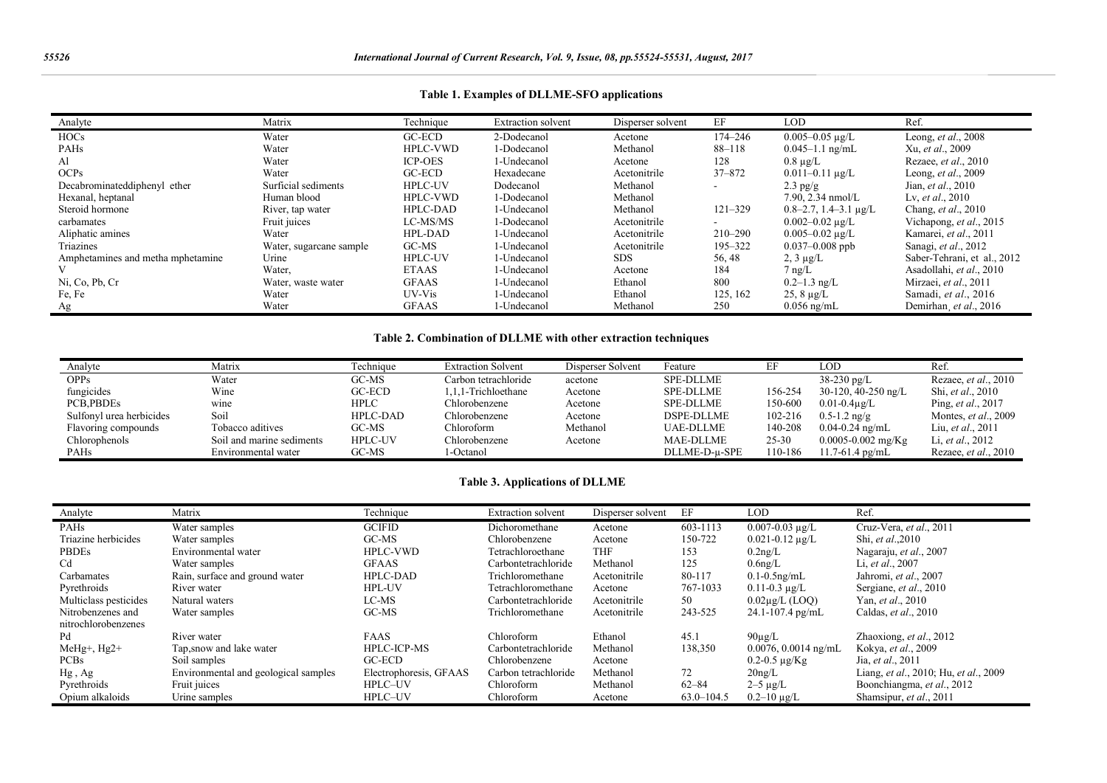| Analyte                           | Matrix                  | Technique       | <b>Extraction solvent</b> | Disperser solvent | EF          | <b>LOD</b>                   | Ref.                         |
|-----------------------------------|-------------------------|-----------------|---------------------------|-------------------|-------------|------------------------------|------------------------------|
| <b>HOCs</b>                       | Water                   | GC-ECD          | 2-Dodecanol               | Acetone           | 174–246     | $0.005 - 0.05$ ug/L          | Leong, et al., 2008          |
| <b>PAHs</b>                       | Water                   | <b>HPLC-VWD</b> | 1-Dodecanol               | Methanol          | $88 - 118$  | $0.045 - 1.1$ ng/mL          | Xu, et al., 2009             |
| Al                                | Water                   | <b>ICP-OES</b>  | 1-Undecanol               | Acetone           | 128         | $0.8 \mu$ g/L                | Rezaee, <i>et al.</i> , 2010 |
| OCP <sub>S</sub>                  | Water                   | GC-ECD          | Hexadecane                | Acetonitrile      | 37-872      | $0.011 - 0.11 \text{ µg/L}$  | Leong, et al., 2009          |
| Decabrominateddiphenyl ether      | Surficial sediments     | <b>HPLC-UV</b>  | Dodecanol                 | Methanol          |             | $2.3$ pg/g                   | Jian, <i>et al.</i> , 2010   |
| Hexanal, heptanal                 | Human blood             | <b>HPLC-VWD</b> | 1-Dodecanol               | Methanol          |             | $7.90, 2.34$ nmol/L          | Lv, et al., $2010$           |
| Steroid hormone                   | River, tap water        | <b>HPLC-DAD</b> | 1-Undecanol               | Methanol          | $121 - 329$ | $0.8 - 2.7$ , 1.4 - 3.1 µg/L | Chang, et al., 2010          |
| carbamates                        | Fruit juices            | LC-MS/MS        | 1-Dodecanol               | Acetonitrile      |             | $0.002 - 0.02 \text{ µg/L}$  | Vichapong, et al., 2015      |
| Aliphatic amines                  | Water                   | HPL-DAD         | 1-Undecanol               | Acetonitrile      | $210 - 290$ | $0.005 - 0.02 \mu g/L$       | Kamarei, et al., 2011        |
| Triazines                         | Water, sugarcane sample | GC-MS           | 1-Undecanol               | Acetonitrile      | 195-322     | $0.037 - 0.008$ ppb          | Sanagi, et al., 2012         |
| Amphetamines and metha mphetamine | Urine                   | <b>HPLC-UV</b>  | 1-Undecanol               | SDS.              | 56, 48      | $2, 3 \mu g/L$               | Saber-Tehrani, et al., 2012  |
|                                   | Water,                  | <b>ETAAS</b>    | 1-Undecanol               | Acetone           | 184         | $7 \text{ ng/L}$             | Asadollahi, et al., 2010     |
| Ni, Co, Pb, Cr                    | Water, waste water      | <b>GFAAS</b>    | 1-Undecanol               | Ethanol           | 800         | $0.2 - 1.3$ ng/L             | Mirzaei, et al., 2011        |
| Fe, Fe                            | Water                   | UV-Vis          | 1-Undecanol               | Ethanol           | 125, 162    | $25, 8 \mu g/L$              | Samadi, et al., 2016         |
| Ag                                | Water                   | <b>GFAAS</b>    | 1-Undecanol               | Methanol          | 250         | $0.056$ ng/mL                | Demirhan, et al., 2016       |

# **Table 1. Examples of DLLME-SFO applications**

# **Table 2. Combination of DLLME with other extraction techniques**

| Analyte                  | Matrix                    | Technique       | <b>Extraction Solvent</b> | Disperser Solvent | Feature           | EF        | LOD                    | Ref.                         |
|--------------------------|---------------------------|-----------------|---------------------------|-------------------|-------------------|-----------|------------------------|------------------------------|
| <b>OPPs</b>              | Water                     | GC-MS           | Carbon tetrachloride      | acetone           | <b>SPE-DLLME</b>  |           | $38-230 \text{ pg/L}$  | Rezaee, et al., 2010         |
| fungicides               | Wine                      | GC-ECD          | 1,1,1-Trichloethane       | Acetone           | <b>SPE-DLLME</b>  | 156-254   | $30-120$ , 40-250 ng/L | Shi, et al., 2010            |
| PCB, PBDEs               | wine                      | <b>HPLC</b>     | Chlorobenzene             | Acetone           | <b>SPE-DLLME</b>  | 150-600   | $0.01 - 0.4\mu$ g/L    | Ping, <i>et al.</i> , 2017   |
| Sulfonyl urea herbicides | Soil                      | <b>HPLC-DAD</b> | Chlorobenzene             | Acetone           | <b>DSPE-DLLME</b> | 102-216   | $0.5 - 1.2$ ng/g       | Montes, et al., 2009         |
| Flavoring compounds      | Tobacco aditives          | GC-MS           | Chloroform                | Methanol          | <b>UAE-DLLME</b>  | 140-208   | $0.04 - 0.24$ ng/mL    | Liu, <i>et al.</i> , 2011    |
| Chlorophenols            | Soil and marine sediments | <b>HPLC-UV</b>  | Chlorobenzene             | Acetone           | <b>MAE-DLLME</b>  | $25 - 30$ | $0.0005 - 0.002$ mg/Kg | Li, et al., 2012             |
| <b>PAHs</b>              | Environmental water       | GC-MS           | l-Octanol                 |                   | DLLME-D-u-SPE     | 110-186   | $11.7 - 61.4$ pg/mL    | Rezaee, <i>et al.</i> , 2010 |

# **Table 3. Applications of DLLME**

| Analyte               | Matrix                               | Technique              | <b>Extraction solvent</b> | Disperser solvent | EF             | LOD                       | Ref.                                  |
|-----------------------|--------------------------------------|------------------------|---------------------------|-------------------|----------------|---------------------------|---------------------------------------|
| <b>PAHs</b>           | Water samples                        | <b>GCIFID</b>          | Dichoromethane            | Acetone           | 603-1113       | $0.007 - 0.03$ ug/L       | Cruz-Vera, et al., 2011               |
| Triazine herbicides   | Water samples                        | GC-MS                  | Chlorobenzene             | Acetone           | 150-722        | $0.021 - 0.12 \mu g/L$    | Shi, et al., 2010                     |
| <b>PBDEs</b>          | Environmental water                  | <b>HPLC-VWD</b>        | Tetrachloroethane         | <b>THF</b>        | 153            | $0.2$ ng/L                | Nagaraju, et al., 2007                |
| C <sub>d</sub>        | Water samples                        | <b>GFAAS</b>           | Carbontetrachloride       | Methanol          | 125            | $0.6$ ng/L                | Li, et al., 2007                      |
| Carbamates            | Rain, surface and ground water       | <b>HPLC-DAD</b>        | Trichloromethane          | Acetonitrile      | 80-117         | $0.1 - 0.5$ ng/mL         | Jahromi, et al., 2007                 |
| Pyrethroids           | River water                          | <b>HPL-UV</b>          | Tetrachloromethane        | Acetone           | 767-1033       | $0.11 - 0.3 \mu g/L$      | Sergiane, et al., 2010                |
| Multiclass pesticides | Natural waters                       | LC-MS                  | Carbontetrachloride       | Acetonitrile      | 50             | $0.02$ ug/L (LOO)         | Yan, et al., 2010                     |
| Nitrobenzenes and     | Water samples                        | $GC-MS$                | Trichloromethane          | Acetonitrile      | 243-525        | $24.1 - 107.4$ pg/mL      | Caldas, et al., 2010                  |
| nitrochlorobenzenes   |                                      |                        |                           |                   |                |                           |                                       |
| Pd                    | River water                          | <b>FAAS</b>            | Chloroform                | Ethanol           | 45.1           | $90\mu$ g/L               | Zhaoxiong, et al., 2012               |
| MeHg+, Hg2+           | Tap, snow and lake water             | <b>HPLC-ICP-MS</b>     | Carbontetrachloride       | Methanol          | 138,350        | $0.0076$ , $0.0014$ ng/mL | Kokya, et al., 2009                   |
| <b>PCBs</b>           | Soil samples                         | $GC-ECD$               | Chlorobenzene             | Acetone           |                | $0.2 - 0.5 \mu g/Kg$      | Jia, et al., 2011                     |
| $Hg$ , Ag             | Environmental and geological samples | Electrophoresis, GFAAS | Carbon tetrachloride      | Methanol          | 72             | $20$ ng/L                 | Liang, et al., 2010; Hu, et al., 2009 |
| Pyrethroids           | Fruit juices                         | HPLC-UV                | Chloroform                | Methanol          | $62 - 84$      | $2-5 \mu g/L$             | Boonchiangma, et al., 2012            |
| Opium alkaloids       | Urine samples                        | HPLC-UV                | Chloroform                | Acetone           | $63.0 - 104.5$ | $0.2 - 10 \mu g/L$        | Shamsipur, et al., 2011               |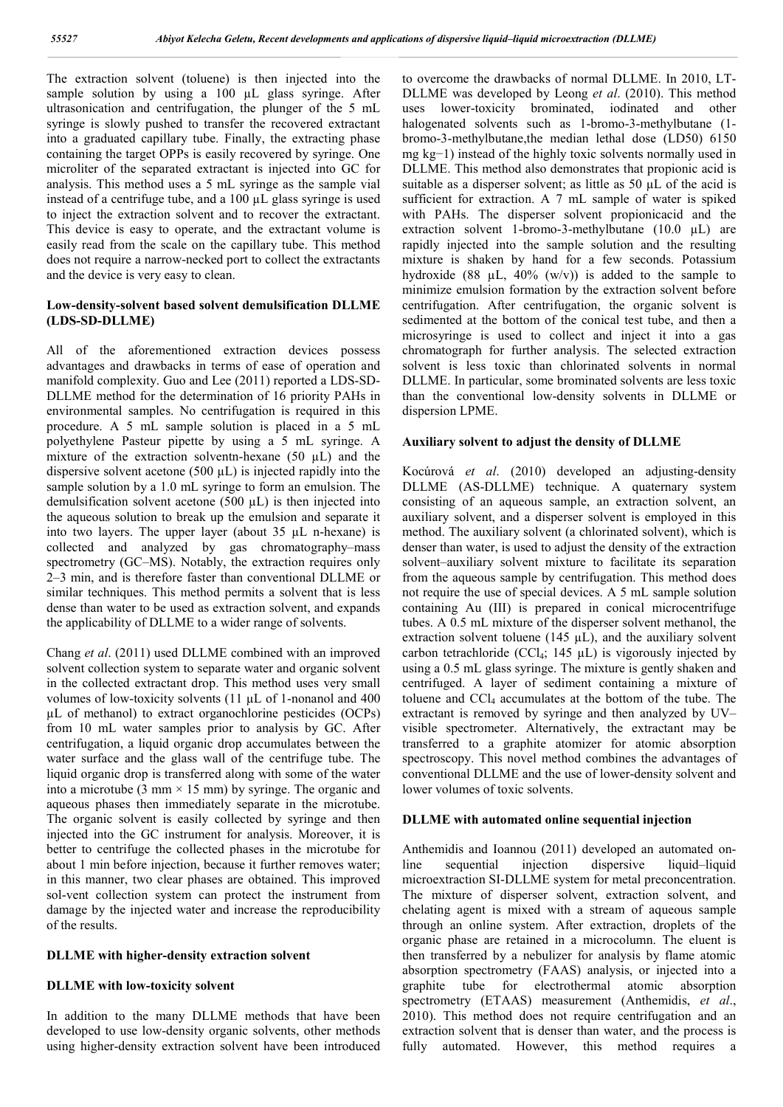The extraction solvent (toluene) is then injected into the sample solution by using a 100 µL glass syringe. After ultrasonication and centrifugation, the plunger of the 5 mL syringe is slowly pushed to transfer the recovered extractant into a graduated capillary tube. Finally, the extracting phase containing the target OPPs is easily recovered by syringe. One microliter of the separated extractant is injected into GC for analysis. This method uses a 5 mL syringe as the sample vial instead of a centrifuge tube, and a 100 µL glass syringe is used to inject the extraction solvent and to recover the extractant. This device is easy to operate, and the extractant volume is easily read from the scale on the capillary tube. This method does not require a narrow-necked port to collect the extractants and the device is very easy to clean.

# **Low-density-solvent based solvent demulsification DLLME (LDS-SD-DLLME)**

All of the aforementioned extraction devices possess advantages and drawbacks in terms of ease of operation and manifold complexity. Guo and Lee (2011) reported a LDS-SD-DLLME method for the determination of 16 priority PAHs in environmental samples. No centrifugation is required in this procedure. A 5 mL sample solution is placed in a 5 mL polyethylene Pasteur pipette by using a 5 mL syringe. A mixture of the extraction solventn-hexane  $(50 \mu L)$  and the dispersive solvent acetone  $(500 \mu L)$  is injected rapidly into the sample solution by a 1.0 mL syringe to form an emulsion. The demulsification solvent acetone (500 uL) is then injected into the aqueous solution to break up the emulsion and separate it into two layers. The upper layer (about 35 µL n-hexane) is collected and analyzed by gas chromatography–mass spectrometry (GC–MS). Notably, the extraction requires only 2–3 min, and is therefore faster than conventional DLLME or similar techniques. This method permits a solvent that is less dense than water to be used as extraction solvent, and expands the applicability of DLLME to a wider range of solvents.

Chang *et al*. (2011) used DLLME combined with an improved solvent collection system to separate water and organic solvent in the collected extractant drop. This method uses very small volumes of low-toxicity solvents (11 µL of 1-nonanol and 400 µL of methanol) to extract organochlorine pesticides (OCPs) from 10 mL water samples prior to analysis by GC. After centrifugation, a liquid organic drop accumulates between the water surface and the glass wall of the centrifuge tube. The liquid organic drop is transferred along with some of the water into a microtube (3 mm  $\times$  15 mm) by syringe. The organic and aqueous phases then immediately separate in the microtube. The organic solvent is easily collected by syringe and then injected into the GC instrument for analysis. Moreover, it is better to centrifuge the collected phases in the microtube for about 1 min before injection, because it further removes water; in this manner, two clear phases are obtained. This improved sol-vent collection system can protect the instrument from damage by the injected water and increase the reproducibility of the results.

### **DLLME with higher-density extraction solvent**

#### **DLLME with low-toxicity solvent**

In addition to the many DLLME methods that have been developed to use low-density organic solvents, other methods using higher-density extraction solvent have been introduced

to overcome the drawbacks of normal DLLME. In 2010, LT-DLLME was developed by Leong *et al*. (2010). This method uses lower-toxicity brominated, iodinated and other halogenated solvents such as 1-bromo-3-methylbutane (1bromo-3-methylbutane,the median lethal dose (LD50) 6150 mg kg−1) instead of the highly toxic solvents normally used in DLLME. This method also demonstrates that propionic acid is suitable as a disperser solvent; as little as 50  $\mu$ L of the acid is sufficient for extraction. A 7 mL sample of water is spiked with PAHs. The disperser solvent propionicacid and the extraction solvent 1-bromo-3-methylbutane  $(10.0 \mu L)$  are rapidly injected into the sample solution and the resulting mixture is shaken by hand for a few seconds. Potassium hydroxide (88  $\mu$ L, 40% (w/v)) is added to the sample to minimize emulsion formation by the extraction solvent before centrifugation. After centrifugation, the organic solvent is sedimented at the bottom of the conical test tube, and then a microsyringe is used to collect and inject it into a gas chromatograph for further analysis. The selected extraction solvent is less toxic than chlorinated solvents in normal DLLME. In particular, some brominated solvents are less toxic than the conventional low-density solvents in DLLME or dispersion LPME.

#### **Auxiliary solvent to adjust the density of DLLME**

Kocúrová *et al*. (2010) developed an adjusting-density DLLME (AS-DLLME) technique. A quaternary system consisting of an aqueous sample, an extraction solvent, an auxiliary solvent, and a disperser solvent is employed in this method. The auxiliary solvent (a chlorinated solvent), which is denser than water, is used to adjust the density of the extraction solvent–auxiliary solvent mixture to facilitate its separation from the aqueous sample by centrifugation. This method does not require the use of special devices. A 5 mL sample solution containing Au (III) is prepared in conical microcentrifuge tubes. A 0.5 mL mixture of the disperser solvent methanol, the extraction solvent toluene (145  $\mu$ L), and the auxiliary solvent carbon tetrachloride (CCl<sub>4</sub>; 145  $\mu$ L) is vigorously injected by using a 0.5 mL glass syringe. The mixture is gently shaken and centrifuged. A layer of sediment containing a mixture of toluene and  $CCl<sub>4</sub>$  accumulates at the bottom of the tube. The extractant is removed by syringe and then analyzed by UV– visible spectrometer. Alternatively, the extractant may be transferred to a graphite atomizer for atomic absorption spectroscopy. This novel method combines the advantages of conventional DLLME and the use of lower-density solvent and lower volumes of toxic solvents.

#### **DLLME with automated online sequential injection**

Anthemidis and Ioannou (2011) developed an automated online sequential injection dispersive liquid–liquid microextraction SI-DLLME system for metal preconcentration. The mixture of disperser solvent, extraction solvent, and chelating agent is mixed with a stream of aqueous sample through an online system. After extraction, droplets of the organic phase are retained in a microcolumn. The eluent is then transferred by a nebulizer for analysis by flame atomic absorption spectrometry (FAAS) analysis, or injected into a graphite tube for electrothermal atomic absorption spectrometry (ETAAS) measurement (Anthemidis, *et al*., 2010). This method does not require centrifugation and an extraction solvent that is denser than water, and the process is fully automated. However, this method requires a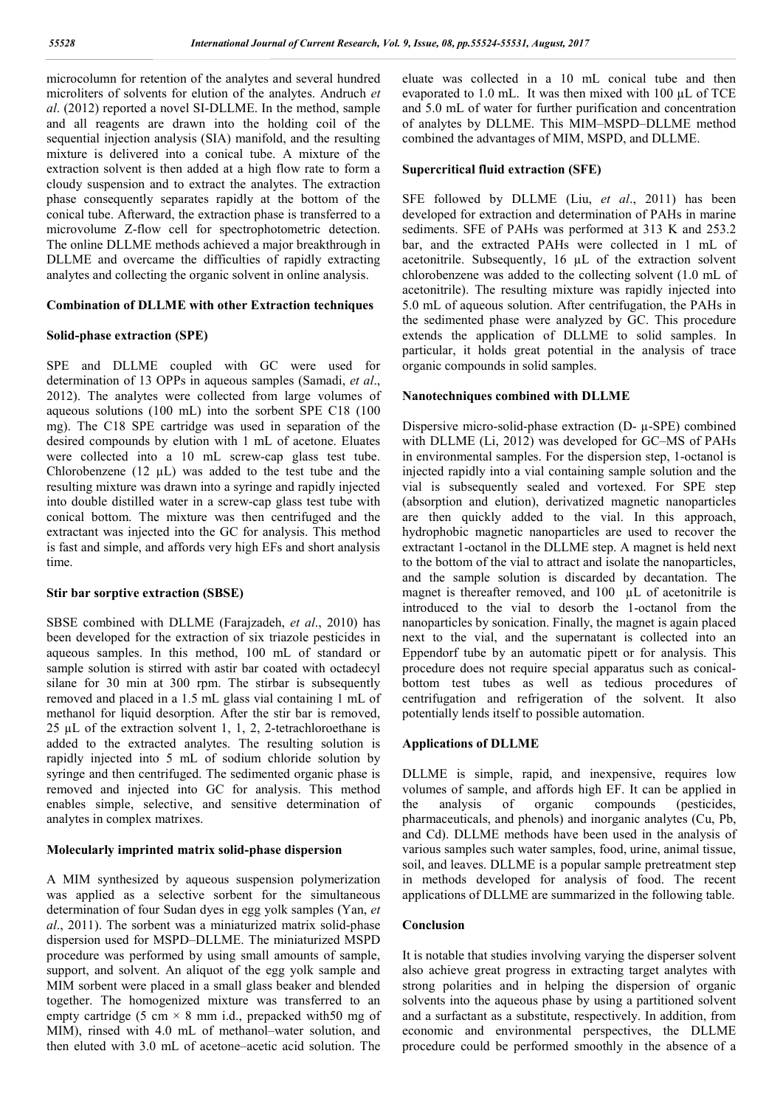microcolumn for retention of the analytes and several hundred microliters of solvents for elution of the analytes. Andruch *et al*. (2012) reported a novel SI-DLLME. In the method, sample and all reagents are drawn into the holding coil of the sequential injection analysis (SIA) manifold, and the resulting mixture is delivered into a conical tube. A mixture of the extraction solvent is then added at a high flow rate to form a cloudy suspension and to extract the analytes. The extraction phase consequently separates rapidly at the bottom of the conical tube. Afterward, the extraction phase is transferred to a microvolume Z-flow cell for spectrophotometric detection. The online DLLME methods achieved a major breakthrough in DLLME and overcame the difficulties of rapidly extracting analytes and collecting the organic solvent in online analysis.

### **Combination of DLLME with other Extraction techniques**

### **Solid-phase extraction (SPE)**

SPE and DLLME coupled with GC were used for determination of 13 OPPs in aqueous samples (Samadi, *et al*., 2012). The analytes were collected from large volumes of aqueous solutions (100 mL) into the sorbent SPE C18 (100 mg). The C18 SPE cartridge was used in separation of the desired compounds by elution with 1 mL of acetone. Eluates were collected into a 10 mL screw-cap glass test tube. Chlorobenzene  $(12 \mu L)$  was added to the test tube and the resulting mixture was drawn into a syringe and rapidly injected into double distilled water in a screw-cap glass test tube with conical bottom. The mixture was then centrifuged and the extractant was injected into the GC for analysis. This method is fast and simple, and affords very high EFs and short analysis time.

#### **Stir bar sorptive extraction (SBSE)**

SBSE combined with DLLME (Farajzadeh, *et al*., 2010) has been developed for the extraction of six triazole pesticides in aqueous samples. In this method, 100 mL of standard or sample solution is stirred with astir bar coated with octadecyl silane for 30 min at 300 rpm. The stirbar is subsequently removed and placed in a 1.5 mL glass vial containing 1 mL of methanol for liquid desorption. After the stir bar is removed, 25 µL of the extraction solvent 1, 1, 2, 2-tetrachloroethane is added to the extracted analytes. The resulting solution is rapidly injected into 5 mL of sodium chloride solution by syringe and then centrifuged. The sedimented organic phase is removed and injected into GC for analysis. This method enables simple, selective, and sensitive determination of analytes in complex matrixes.

### **Molecularly imprinted matrix solid-phase dispersion**

A MIM synthesized by aqueous suspension polymerization was applied as a selective sorbent for the simultaneous determination of four Sudan dyes in egg yolk samples (Yan, *et al*., 2011). The sorbent was a miniaturized matrix solid-phase dispersion used for MSPD–DLLME. The miniaturized MSPD procedure was performed by using small amounts of sample, support, and solvent. An aliquot of the egg yolk sample and MIM sorbent were placed in a small glass beaker and blended together. The homogenized mixture was transferred to an empty cartridge (5 cm  $\times$  8 mm i.d., prepacked with 50 mg of MIM), rinsed with 4.0 mL of methanol–water solution, and then eluted with 3.0 mL of acetone–acetic acid solution. The

eluate was collected in a 10 mL conical tube and then evaporated to 1.0 mL. It was then mixed with 100 µL of TCE and 5.0 mL of water for further purification and concentration of analytes by DLLME. This MIM–MSPD–DLLME method combined the advantages of MIM, MSPD, and DLLME.

#### **Supercritical fluid extraction (SFE)**

SFE followed by DLLME (Liu, *et al*., 2011) has been developed for extraction and determination of PAHs in marine sediments. SFE of PAHs was performed at 313 K and 253.2 bar, and the extracted PAHs were collected in 1 mL of acetonitrile. Subsequently, 16 µL of the extraction solvent chlorobenzene was added to the collecting solvent (1.0 mL of acetonitrile). The resulting mixture was rapidly injected into 5.0 mL of aqueous solution. After centrifugation, the PAHs in the sedimented phase were analyzed by GC. This procedure extends the application of DLLME to solid samples. In particular, it holds great potential in the analysis of trace organic compounds in solid samples.

# **Nanotechniques combined with DLLME**

Dispersive micro-solid-phase extraction (D- µ-SPE) combined with DLLME (Li, 2012) was developed for GC–MS of PAHs in environmental samples. For the dispersion step, 1-octanol is injected rapidly into a vial containing sample solution and the vial is subsequently sealed and vortexed. For SPE step (absorption and elution), derivatized magnetic nanoparticles are then quickly added to the vial. In this approach, hydrophobic magnetic nanoparticles are used to recover the extractant 1-octanol in the DLLME step. A magnet is held next to the bottom of the vial to attract and isolate the nanoparticles, and the sample solution is discarded by decantation. The magnet is thereafter removed, and 100 µL of acetonitrile is introduced to the vial to desorb the 1-octanol from the nanoparticles by sonication. Finally, the magnet is again placed next to the vial, and the supernatant is collected into an Eppendorf tube by an automatic pipett or for analysis. This procedure does not require special apparatus such as conicalbottom test tubes as well as tedious procedures of centrifugation and refrigeration of the solvent. It also potentially lends itself to possible automation.

#### **Applications of DLLME**

DLLME is simple, rapid, and inexpensive, requires low volumes of sample, and affords high EF. It can be applied in the analysis of organic compounds (pesticides, pharmaceuticals, and phenols) and inorganic analytes (Cu, Pb, and Cd). DLLME methods have been used in the analysis of various samples such water samples, food, urine, animal tissue, soil, and leaves. DLLME is a popular sample pretreatment step in methods developed for analysis of food. The recent applications of DLLME are summarized in the following table.

### **Conclusion**

It is notable that studies involving varying the disperser solvent also achieve great progress in extracting target analytes with strong polarities and in helping the dispersion of organic solvents into the aqueous phase by using a partitioned solvent and a surfactant as a substitute, respectively. In addition, from economic and environmental perspectives, the DLLME procedure could be performed smoothly in the absence of a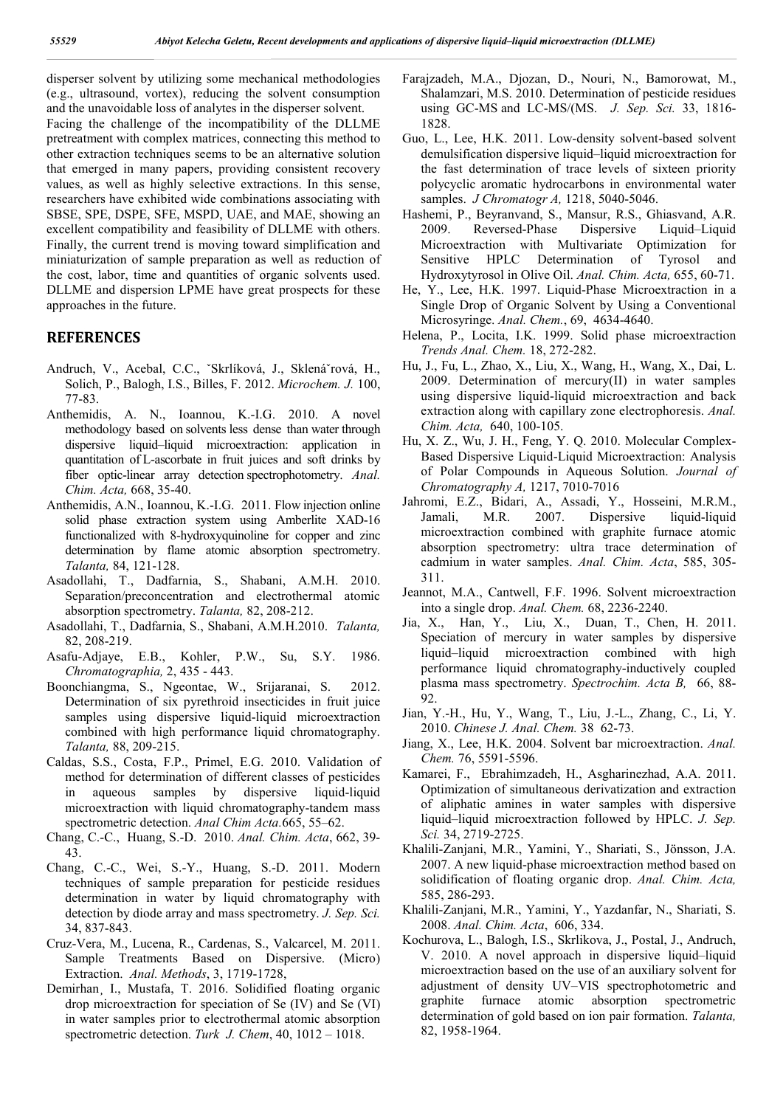disperser solvent by utilizing some mechanical methodologies (e.g., ultrasound, vortex), reducing the solvent consumption and the unavoidable loss of analytes in the disperser solvent. Facing the challenge of the incompatibility of the DLLME pretreatment with complex matrices, connecting this method to other extraction techniques seems to be an alternative solution that emerged in many papers, providing consistent recovery values, as well as highly selective extractions. In this sense, researchers have exhibited wide combinations associating with SBSE, SPE, DSPE, SFE, MSPD, UAE, and MAE, showing an excellent compatibility and feasibility of DLLME with others. Finally, the current trend is moving toward simplification and miniaturization of sample preparation as well as reduction of the cost, labor, time and quantities of organic solvents used. DLLME and dispersion LPME have great prospects for these approaches in the future.

# **REFERENCES**

- Andruch, V., Acebal, C.C., ˇSkrlíková, J., Sklenáˇrová, H., Solich, P., Balogh, I.S., Billes, F. 2012. *Microchem. J.* 100, 77-83.
- Anthemidis, A. N., Ioannou, K.-I.G. 2010. A novel methodology based on solvents less dense than water through dispersive liquid–liquid microextraction: application in quantitation of L-ascorbate in fruit juices and soft drinks by fiber optic-linear array detection spectrophotometry. *Anal. Chim. Acta,* 668, 35-40.
- Anthemidis, A.N., Ioannou, K.-I.G. 2011. Flow injection online solid phase extraction system using Amberlite XAD-16 functionalized with 8-hydroxyquinoline for copper and zinc determination by flame atomic absorption spectrometry. *Talanta,* 84, 121-128.
- Asadollahi, T., Dadfarnia, S., Shabani, A.M.H. 2010. Separation/preconcentration and electrothermal atomic absorption spectrometry. *Talanta,* 82, 208-212.
- Asadollahi, T., Dadfarnia, S., Shabani, A.M.H.2010. *Talanta,*  82, 208-219.
- Asafu-Adjaye, E.B., Kohler, P.W., Su, S.Y. 1986. *Chromatographia,* 2, 435 - 443.
- Boonchiangma, S., Ngeontae, W., Srijaranai, S. 2012. Determination of six pyrethroid insecticides in fruit juice samples using dispersive liquid-liquid microextraction combined with high performance liquid chromatography. *Talanta,* 88, 209-215.
- Caldas, S.S., Costa, F.P., Primel, E.G. 2010. Validation of method for determination of different classes of pesticides in aqueous samples by dispersive liquid-liquid microextraction with liquid chromatography-tandem mass spectrometric detection. *Anal Chim Acta.*665, 55–62.
- Chang, C.-C., Huang, S.-D. 2010. *Anal. Chim. Acta*, 662, 39- 43.
- Chang, C.-C., Wei, S.-Y., Huang, S.-D. 2011. Modern techniques of sample preparation for pesticide residues determination in water by liquid chromatography with detection by diode array and mass spectrometry. *J. Sep. Sci.* 34, 837-843.
- Cruz-Vera, M., Lucena, R., Cardenas, S., Valcarcel, M. 2011. Sample Treatments Based on Dispersive. (Micro) Extraction. *Anal. Methods*, 3, 1719-1728,
- Demirhan¸ I., Mustafa, T. 2016. Solidified floating organic drop microextraction for speciation of Se (IV) and Se (VI) in water samples prior to electrothermal atomic absorption spectrometric detection. *Turk J. Chem*, 40, 1012 – 1018.
- Farajzadeh, M.A., Djozan, D., Nouri, N., Bamorowat, M., Shalamzari, M.S. 2010. Determination of pesticide residues using GC-MS and LC-MS/(MS. *J. Sep. Sci.* 33, 1816- 1828.
- Guo, L., Lee, H.K. 2011. Low-density solvent-based solvent demulsification dispersive liquid–liquid microextraction for the fast determination of trace levels of sixteen priority polycyclic aromatic hydrocarbons in environmental water samples. *J Chromatogr A,* 1218, 5040-5046.
- Hashemi, P., Beyranvand, S., Mansur, R.S., Ghiasvand, A.R. 2009. Reversed-Phase Dispersive Liquid–Liquid Microextraction with Multivariate Optimization for Sensitive HPLC Determination of Tyrosol and Hydroxytyrosol in Olive Oil. *Anal. Chim. Acta,* 655, 60-71.
- He, Y., Lee, H.K. 1997. Liquid-Phase Microextraction in a Single Drop of Organic Solvent by Using a Conventional Microsyringe. *Anal. Chem.*, 69, 4634-4640.
- Helena, P., Locita, I.K. 1999. Solid phase microextraction *Trends Anal. Chem.* 18, 272-282.
- Hu, J., Fu, L., Zhao, X., Liu, X., Wang, H., Wang, X., Dai, L. 2009. Determination of mercury(II) in water samples using dispersive liquid-liquid microextraction and back extraction along with capillary zone electrophoresis. *Anal. Chim. Acta,* 640, 100-105.
- Hu, X. Z., Wu, J. H., Feng, Y. Q. 2010. Molecular Complex-Based Dispersive Liquid-Liquid Microextraction: Analysis of Polar Compounds in Aqueous Solution. *Journal of Chromatography A,* 1217, 7010-7016
- Jahromi, E.Z., Bidari, A., Assadi, Y., Hosseini, M.R.M., Jamali, M.R. 2007. Dispersive liquid-liquid microextraction combined with graphite furnace atomic absorption spectrometry: ultra trace determination of cadmium in water samples. *Anal. Chim. Acta*, 585, 305- 311.
- Jeannot, M.A., Cantwell, F.F. 1996. Solvent microextraction into a single drop. *Anal. Chem.* 68, 2236-2240.
- Jia, X., Han, Y., Liu, X., Duan, T., Chen, H. 2011. Speciation of mercury in water samples by dispersive liquid–liquid microextraction combined with high performance liquid chromatography-inductively coupled plasma mass spectrometry. *Spectrochim. Acta B,* 66, 88- 92.
- Jian, Y.-H., Hu, Y., Wang, T., Liu, J.-L., Zhang, C., Li, Y. 2010. *Chinese J. Anal. Chem.* 38 62-73.
- Jiang, X., Lee, H.K. 2004. Solvent bar microextraction. *Anal. Chem.* 76, 5591-5596.
- Kamarei, F., Ebrahimzadeh, H., Asgharinezhad, A.A. 2011. Optimization of simultaneous derivatization and extraction of aliphatic amines in water samples with dispersive liquid–liquid microextraction followed by HPLC. *J. Sep. Sci.* 34, 2719-2725.
- Khalili-Zanjani, M.R., Yamini, Y., Shariati, S., Jönsson, J.A. 2007. A new liquid-phase microextraction method based on solidification of floating organic drop. *Anal. Chim. Acta,* 585, 286-293.
- Khalili-Zanjani, M.R., Yamini, Y., Yazdanfar, N., Shariati, S. 2008. *Anal. Chim. Acta*, 606, 334.
- Kochurova, L., Balogh, I.S., Skrlikova, J., Postal, J., Andruch, V. 2010. A novel approach in dispersive liquid–liquid microextraction based on the use of an auxiliary solvent for adjustment of density UV–VIS spectrophotometric and graphite furnace atomic absorption spectrometric determination of gold based on ion pair formation. *Talanta,* 82, 1958-1964.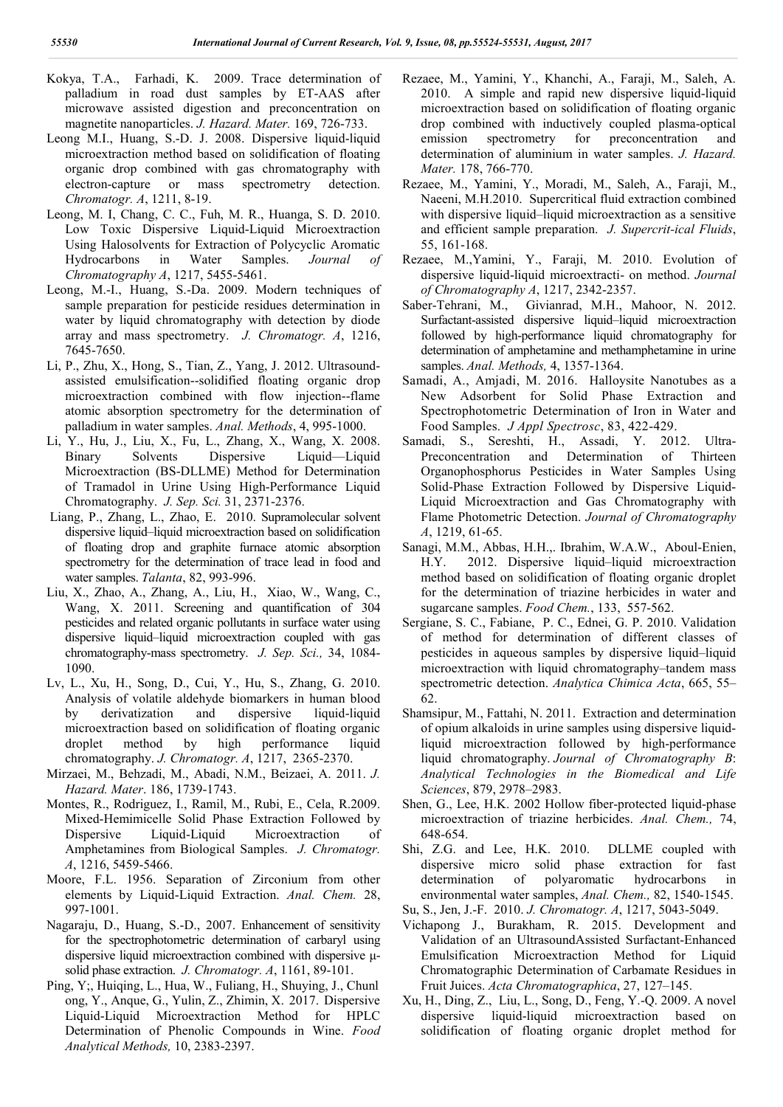- Kokya, T.A., Farhadi, K. 2009. Trace determination of palladium in road dust samples by ET-AAS after microwave assisted digestion and preconcentration on magnetite nanoparticles. *J. Hazard. Mater.* 169, 726-733.
- Leong M.I., Huang, S.-D. J. 2008. Dispersive liquid-liquid microextraction method based on solidification of floating organic drop combined with gas chromatography with electron-capture or mass spectrometry detection. *Chromatogr. A*, 1211, 8-19.
- Leong, M. I, Chang, C. C., Fuh, M. R., Huanga, S. D. 2010. Low Toxic Dispersive Liquid-Liquid Microextraction Using Halosolvents for Extraction of Polycyclic Aromatic Hydrocarbons in Water Samples. *Journal of Chromatography A*, 1217, 5455-5461.
- Leong, M.-I., Huang, S.-Da. 2009. Modern techniques of sample preparation for pesticide residues determination in water by liquid chromatography with detection by diode array and mass spectrometry. *J. Chromatogr. A*, 1216, 7645-7650.
- Li, P., Zhu, X., Hong, S., Tian, Z., Yang, J. 2012. Ultrasoundassisted emulsification--solidified floating organic drop microextraction combined with flow injection--flame atomic absorption spectrometry for the determination of palladium in water samples. *Anal. Methods*, 4, 995-1000.
- Li, Y., Hu, J., Liu, X., Fu, L., Zhang, X., Wang, X. 2008. Binary Solvents Dispersive Liquid—Liquid Microextraction (BS-DLLME) Method for Determination of Tramadol in Urine Using High-Performance Liquid Chromatography. *J. Sep. Sci.* 31, 2371-2376.
- Liang, P., Zhang, L., Zhao, E. 2010. Supramolecular solvent dispersive liquid–liquid microextraction based on solidification of floating drop and graphite furnace atomic absorption spectrometry for the determination of trace lead in food and water samples. *Talanta*, 82, 993-996.
- Liu, X., Zhao, A., Zhang, A., Liu, H., Xiao, W., Wang, C., Wang, X. 2011. Screening and quantification of 304 pesticides and related organic pollutants in surface water using dispersive liquid–liquid microextraction coupled with gas chromatography-mass spectrometry. *J. Sep. Sci.,* 34, 1084- 1090.
- Lv, L., Xu, H., Song, D., Cui, Y., Hu, S., Zhang, G. 2010. Analysis of volatile aldehyde biomarkers in human blood by derivatization and dispersive liquid-liquid microextraction based on solidification of floating organic droplet method by high performance liquid chromatography. *J. Chromatogr. A*, 1217, 2365-2370.
- Mirzaei, M., Behzadi, M., Abadi, N.M., Beizaei, A. 2011. *J. Hazard. Mater*. 186, 1739-1743.
- Montes, R., Rodriguez, I., Ramil, M., Rubi, E., Cela, R.2009. Mixed-Hemimicelle Solid Phase Extraction Followed by Dispersive Liquid-Liquid Microextraction of Amphetamines from Biological Samples. *J. Chromatogr. A*, 1216, 5459-5466.
- Moore, F.L. 1956. Separation of Zirconium from other elements by Liquid-Liquid Extraction. *Anal. Chem.* 28, 997-1001.
- Nagaraju, D., Huang, S.-D., 2007. Enhancement of sensitivity for the spectrophotometric determination of carbaryl using dispersive liquid microextraction combined with dispersive μsolid phase extraction. *J. Chromatogr. A*, 1161, 89-101.
- Ping, Y;, Huiqing, L., Hua, W., Fuliang, H., Shuying, J., Chunl ong, Y., Anque, G., Yulin, Z., Zhimin, X. 2017. Dispersive Liquid-Liquid Microextraction Method for HPLC Determination of Phenolic Compounds in Wine. *Food Analytical Methods,* 10, 2383-2397.
- Rezaee, M., Yamini, Y., Khanchi, A., Faraji, M., Saleh, A. 2010. A simple and rapid new dispersive liquid-liquid microextraction based on solidification of floating organic drop combined with inductively coupled plasma-optical emission spectrometry for preconcentration and determination of aluminium in water samples. *J. Hazard. Mater.* 178, 766-770.
- Rezaee, M., Yamini, Y., Moradi, M., Saleh, A., Faraji, M., Naeeni, M.H.2010. Supercritical fluid extraction combined with dispersive liquid–liquid microextraction as a sensitive and efficient sample preparation. *J. Supercrit-ical Fluids*, 55, 161-168.
- Rezaee, M.,Yamini, Y., Faraji, M. 2010. Evolution of dispersive liquid-liquid microextracti- on method. *Journal of Chromatography A*, 1217, 2342-2357.
- Saber-Tehrani, M., Givianrad, M.H., Mahoor, N. 2012. Surfactant-assisted dispersive liquid–liquid microextraction followed by high-performance liquid chromatography for determination of amphetamine and methamphetamine in urine samples. *Anal. Methods,* 4, 1357-1364.
- Samadi, A., Amjadi, M. 2016. Halloysite Nanotubes as a New Adsorbent for Solid Phase Extraction and Spectrophotometric Determination of Iron in Water and Food Samples. *J Appl Spectrosc*, 83, 422-429.
- Samadi, S., Sereshti, H., Assadi, Y. 2012. Ultra-Preconcentration and Determination of Thirteen Organophosphorus Pesticides in Water Samples Using Solid-Phase Extraction Followed by Dispersive Liquid-Liquid Microextraction and Gas Chromatography with Flame Photometric Detection. *Journal of Chromatography A*, 1219, 61-65.
- Sanagi, M.M., Abbas, H.H.,. Ibrahim, W.A.W., Aboul-Enien, H.Y. 2012. Dispersive liquid–liquid microextraction method based on solidification of floating organic droplet for the determination of triazine herbicides in water and sugarcane samples. *Food Chem.*, 133, 557-562.
- Sergiane, S. C., Fabiane, P. C., Ednei, G. P. 2010. Validation of method for determination of different classes of pesticides in aqueous samples by dispersive liquid–liquid microextraction with liquid chromatography–tandem mass spectrometric detection. *Analytica Chimica Acta*, 665, 55– 62.
- Shamsipur, M., Fattahi, N. 2011. Extraction and determination of opium alkaloids in urine samples using dispersive liquidliquid microextraction followed by high-performance liquid chromatography. *Journal of Chromatography B*: *Analytical Technologies in the Biomedical and Life Sciences*, 879, 2978–2983.
- Shen, G., Lee, H.K. 2002 Hollow fiber-protected liquid-phase microextraction of triazine herbicides. *Anal. Chem.,* 74, 648-654.
- Shi, Z.G. and Lee, H.K. 2010. DLLME coupled with dispersive micro solid phase extraction for fast determination of polyaromatic hydrocarbons in environmental water samples, *Anal. Chem.,* 82, 1540-1545.
- Su, S., Jen, J.-F. 2010. *J. Chromatogr. A*, 1217, 5043-5049.
- Vichapong J., Burakham, R. 2015. Development and Validation of an UltrasoundAssisted Surfactant-Enhanced Emulsification Microextraction Method for Liquid Chromatographic Determination of Carbamate Residues in Fruit Juices. *Acta Chromatographica*, 27, 127–145.
- Xu, H., Ding, Z., Liu, L., Song, D., Feng, Y.-Q. 2009. A novel dispersive liquid-liquid microextraction based on solidification of floating organic droplet method for